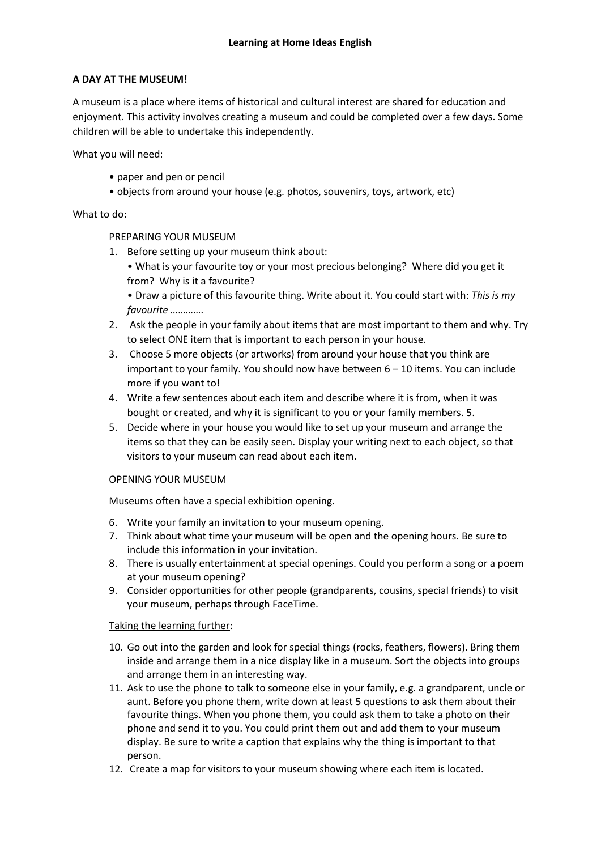## **A DAY AT THE MUSEUM!**

A museum is a place where items of historical and cultural interest are shared for education and enjoyment. This activity involves creating a museum and could be completed over a few days. Some children will be able to undertake this independently.

What you will need:

- paper and pen or pencil
- objects from around your house (e.g. photos, souvenirs, toys, artwork, etc)

### What to do:

PREPARING YOUR MUSEUM

- 1. Before setting up your museum think about:
	- What is your favourite toy or your most precious belonging? Where did you get it from? Why is it a favourite?
	- Draw a picture of this favourite thing. Write about it. You could start with: *This is my favourite ………….*
- 2. Ask the people in your family about items that are most important to them and why. Try to select ONE item that is important to each person in your house.
- 3. Choose 5 more objects (or artworks) from around your house that you think are important to your family. You should now have between 6 – 10 items. You can include more if you want to!
- 4. Write a few sentences about each item and describe where it is from, when it was bought or created, and why it is significant to you or your family members. 5.
- 5. Decide where in your house you would like to set up your museum and arrange the items so that they can be easily seen. Display your writing next to each object, so that visitors to your museum can read about each item.

### OPENING YOUR MUSEUM

Museums often have a special exhibition opening.

- 6. Write your family an invitation to your museum opening.
- 7. Think about what time your museum will be open and the opening hours. Be sure to include this information in your invitation.
- 8. There is usually entertainment at special openings. Could you perform a song or a poem at your museum opening?
- 9. Consider opportunities for other people (grandparents, cousins, special friends) to visit your museum, perhaps through FaceTime.

# Taking the learning further:

- 10. Go out into the garden and look for special things (rocks, feathers, flowers). Bring them inside and arrange them in a nice display like in a museum. Sort the objects into groups and arrange them in an interesting way.
- 11. Ask to use the phone to talk to someone else in your family, e.g. a grandparent, uncle or aunt. Before you phone them, write down at least 5 questions to ask them about their favourite things. When you phone them, you could ask them to take a photo on their phone and send it to you. You could print them out and add them to your museum display. Be sure to write a caption that explains why the thing is important to that person.
- 12. Create a map for visitors to your museum showing where each item is located.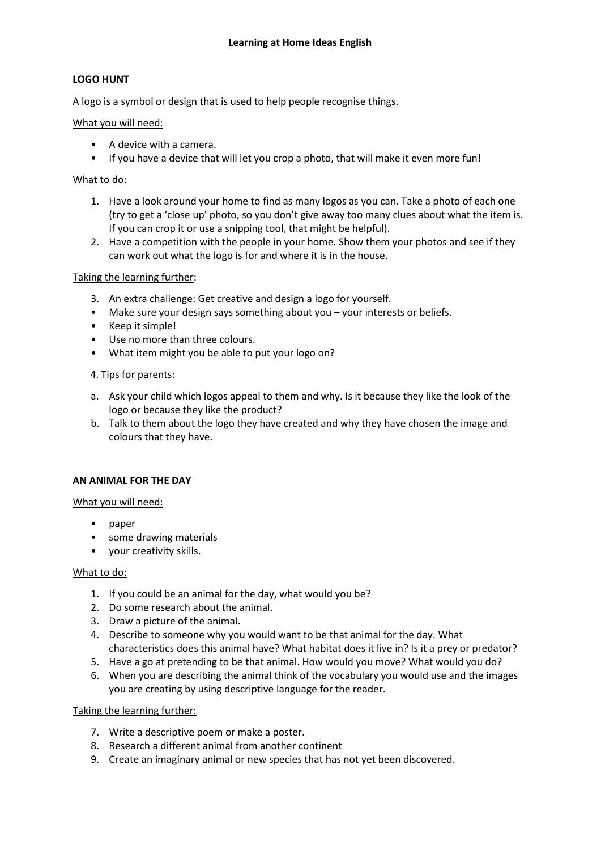# **Learning at Home Ideas English**

### **LOGO HUNT**

A logo is a symbol or design that is used to help people recognise things.

### What you will need:

- A device with a camera.
- If you have a device that will let you crop a photo, that will make it even more fun!

#### What to do:

- 1. Have a look around your home to find as many logos as you can. Take a photo of each one (try to get a 'close up' photo, so you don't give away too many clues about what the item is. If you can crop it or use a snipping tool, that might be helpful).
- 2. Have a competition with the people in your home. Show them your photos and see if they can work out what the logo is for and where it is in the house.

#### Taking the learning further:

- 3. An extra challenge: Get creative and design a logo for yourself.
- Make sure your design says something about you your interests or beliefs.
- Keep it simple!
- Use no more than three colours.
- What item might you be able to put your logo on?

### 4. Tips for parents:

- a. Ask your child which logos appeal to them and why. Is it because they like the look of the logo or because they like the product?
- b. Talk to them about the logo they have created and why they have chosen the image and colours that they have.

### **AN ANIMAL FOR THE DAY**

### What you will need:

- paper
- some drawing materials
- your creativity skills.

### What to do:

- 1. If you could be an animal for the day, what would you be?
- 2. Do some research about the animal.
- 3. Draw a picture of the animal.
- 4. Describe to someone why you would want to be that animal for the day. What characteristics does this animal have? What habitat does it live in? Is it a prey or predator?
- 5. Have a go at pretending to be that animal. How would you move? What would you do?
- 6. When you are describing the animal think of the vocabulary you would use and the images you are creating by using descriptive language for the reader.

### Taking the learning further:

- 7. Write a descriptive poem or make a poster.
- 8. Research a different animal from another continent
- 9. Create an imaginary animal or new species that has not yet been discovered.